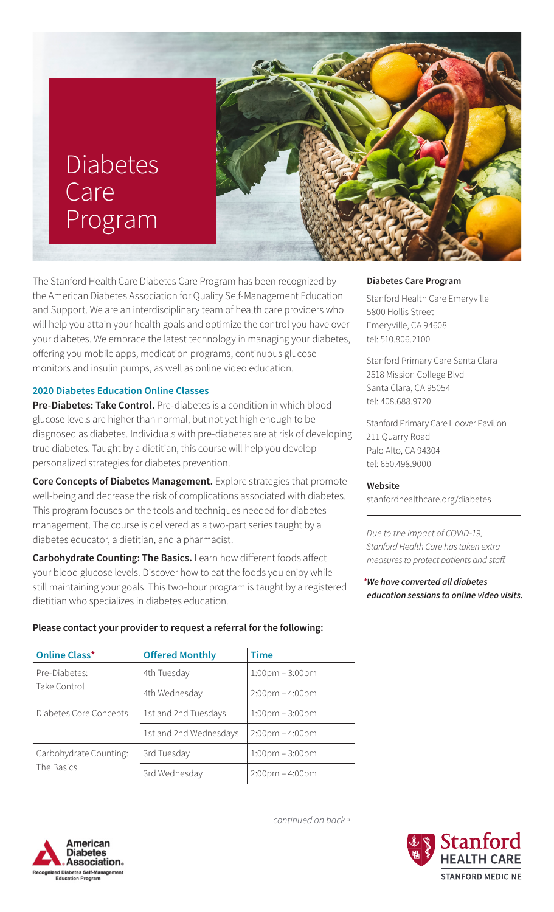# Diabetes **Care** Program

The Stanford Health Care Diabetes Care Program has been recognized by the American Diabetes Association for Quality Self-Management Education and Support. We are an interdisciplinary team of health care providers who will help you attain your health goals and optimize the control you have over your diabetes. We embrace the latest technology in managing your diabetes, offering you mobile apps, medication programs, continuous glucose monitors and insulin pumps, as well as online video education.

# **2020 Diabetes Education Online Classes**

**Pre-Diabetes: Take Control.** Pre-diabetes is a condition in which blood glucose levels are higher than normal, but not yet high enough to be diagnosed as diabetes. Individuals with pre-diabetes are at risk of developing true diabetes. Taught by a dietitian, this course will help you develop personalized strategies for diabetes prevention.

**Core Concepts of Diabetes Management.** Explore strategies that promote well-being and decrease the risk of complications associated with diabetes. This program focuses on the tools and techniques needed for diabetes management. The course is delivered as a two-part series taught by a diabetes educator, a dietitian, and a pharmacist.

**Carbohydrate Counting: The Basics.** Learn how different foods affect your blood glucose levels. Discover how to eat the foods you enjoy while still maintaining your goals. This two-hour program is taught by a registered dietitian who specializes in diabetes education.

## **Please contact your provider to request a referral for the following:**

| <b>Online Class*</b>                 | <b>Offered Monthly</b> | <b>Time</b>                       |
|--------------------------------------|------------------------|-----------------------------------|
| Pre-Diabetes:<br>Take Control        | 4th Tuesday            | $1:00 \text{pm} - 3:00 \text{pm}$ |
|                                      | 4th Wednesday          | $2:00 \text{pm} - 4:00 \text{pm}$ |
| Diabetes Core Concepts               | 1st and 2nd Tuesdays   | $1:00 \text{pm} - 3:00 \text{pm}$ |
|                                      | 1st and 2nd Wednesdays | $2:00 \text{pm} - 4:00 \text{pm}$ |
| Carbohydrate Counting:<br>The Basics | 3rd Tuesday            | $1:00 \text{pm} - 3:00 \text{pm}$ |
|                                      | 3rd Wednesday          | $2:00 \text{pm} - 4:00 \text{pm}$ |



#### **Diabetes Care Program**

Stanford Health Care Emeryville 5800 Hollis Street Emeryville, CA 94608 tel: 510.806.2100

Stanford Primary Care Santa Clara 2518 Mission College Blvd Santa Clara, CA 95054 tel: 408.688.9720

Stanford Primary Care Hoover Pavilion 211 Quarry Road Palo Alto, CA 94304 tel: 650.498.9000

#### **Website**

[stanfordhealthcare.org/diabetes](http://stanfordhealthcare.org/diabetes
)

*Due to the impact of COVID-19, Stanford Health Care has taken extra measures to protect patients and staff.* 

*\*We have converted all diabetes education sessions to online video visits.* 



*continued on back »*